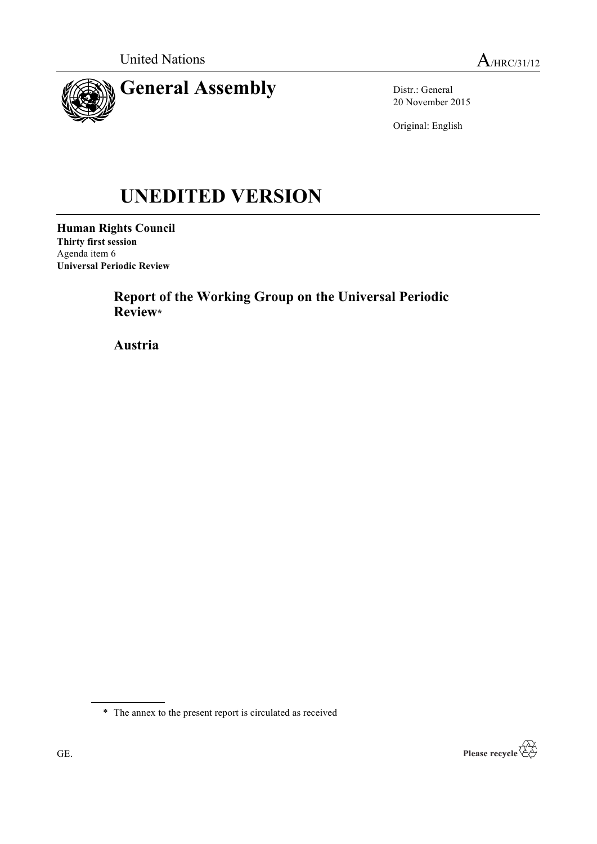

Distr.: General 20 November 2015

Original: English

# **UNEDITED VERSION**

**Human Rights Council Thirty first session** Agenda item 6 **Universal Periodic Review**

> **Report of the Working Group on the Universal Periodic Review\***

**Austria**



<sup>\*</sup> The annex to the present report is circulated as received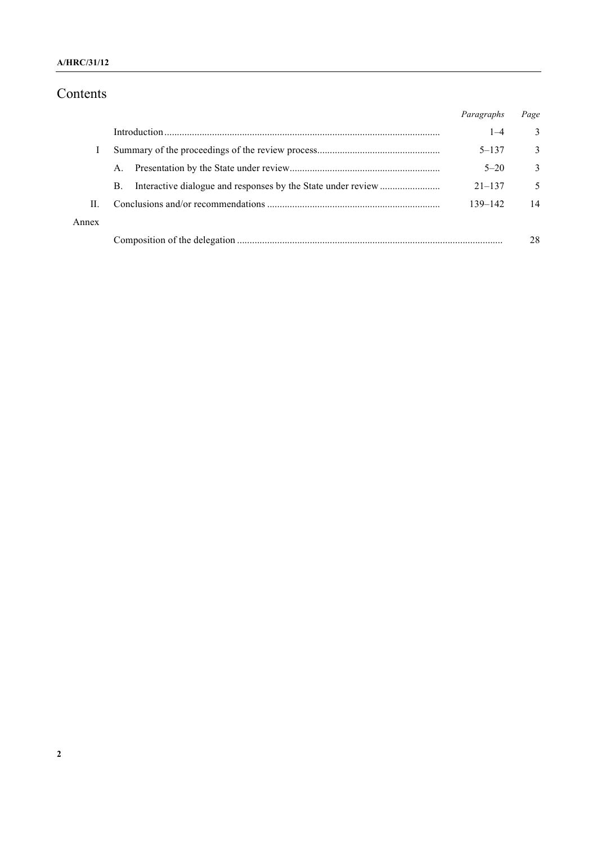### **A/HRC/31/12**

# Contents

|       |    | Paragraphs | Page          |
|-------|----|------------|---------------|
|       |    | $1 - 4$    | 3             |
|       |    | $5 - 137$  | $\mathcal{E}$ |
|       | A. | $5 - 20$   | $\mathcal{E}$ |
|       | B. | $21 - 137$ | 5             |
| H.    |    | 139-142    | 14            |
| Annex |    |            |               |
|       |    |            | 28            |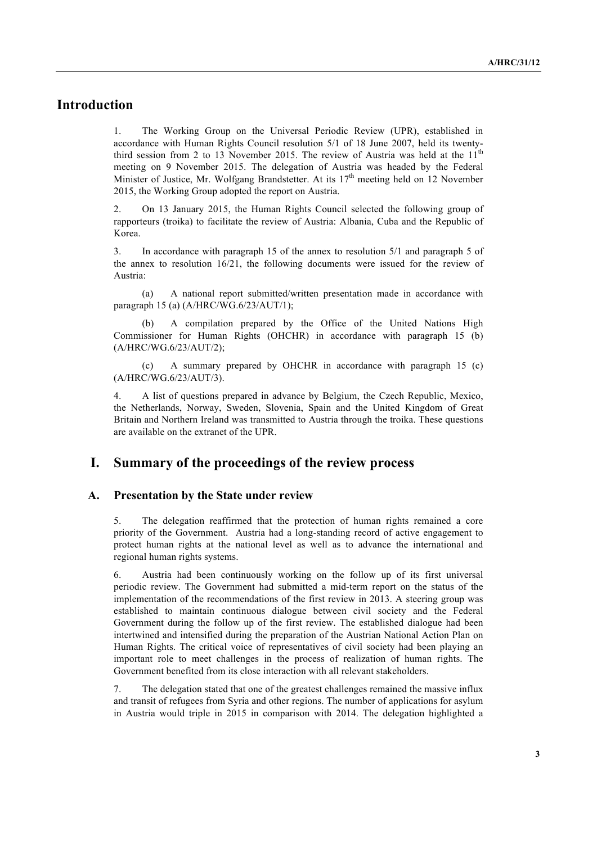# **Introduction**

1. The Working Group on the Universal Periodic Review (UPR), established in accordance with Human Rights Council resolution 5/1 of 18 June 2007, held its twentythird session from 2 to 13 November 2015. The review of Austria was held at the  $11<sup>th</sup>$ meeting on 9 November 2015. The delegation of Austria was headed by the Federal Minister of Justice, Mr. Wolfgang Brandstetter. At its  $17<sup>th</sup>$  meeting held on 12 November 2015, the Working Group adopted the report on Austria.

2. On 13 January 2015, the Human Rights Council selected the following group of rapporteurs (troika) to facilitate the review of Austria: Albania, Cuba and the Republic of Korea.

3. In accordance with paragraph 15 of the annex to resolution 5/1 and paragraph 5 of the annex to resolution 16/21, the following documents were issued for the review of Austria:

(a) A national report submitted/written presentation made in accordance with paragraph 15 (a) (A/HRC/WG.6/23/AUT/1);

A compilation prepared by the Office of the United Nations High Commissioner for Human Rights (OHCHR) in accordance with paragraph 15 (b) (A/HRC/WG.6/23/AUT/2);

(c) A summary prepared by OHCHR in accordance with paragraph 15 (c) (A/HRC/WG.6/23/AUT/3).

4. A list of questions prepared in advance by Belgium, the Czech Republic, Mexico, the Netherlands, Norway, Sweden, Slovenia, Spain and the United Kingdom of Great Britain and Northern Ireland was transmitted to Austria through the troika. These questions are available on the extranet of the UPR.

## **I. Summary of the proceedings of the review process**

#### **A. Presentation by the State under review**

5. The delegation reaffirmed that the protection of human rights remained a core priority of the Government. Austria had a long-standing record of active engagement to protect human rights at the national level as well as to advance the international and regional human rights systems.

6. Austria had been continuously working on the follow up of its first universal periodic review. The Government had submitted a mid-term report on the status of the implementation of the recommendations of the first review in 2013. A steering group was established to maintain continuous dialogue between civil society and the Federal Government during the follow up of the first review. The established dialogue had been intertwined and intensified during the preparation of the Austrian National Action Plan on Human Rights. The critical voice of representatives of civil society had been playing an important role to meet challenges in the process of realization of human rights. The Government benefited from its close interaction with all relevant stakeholders.

7. The delegation stated that one of the greatest challenges remained the massive influx and transit of refugees from Syria and other regions. The number of applications for asylum in Austria would triple in 2015 in comparison with 2014. The delegation highlighted a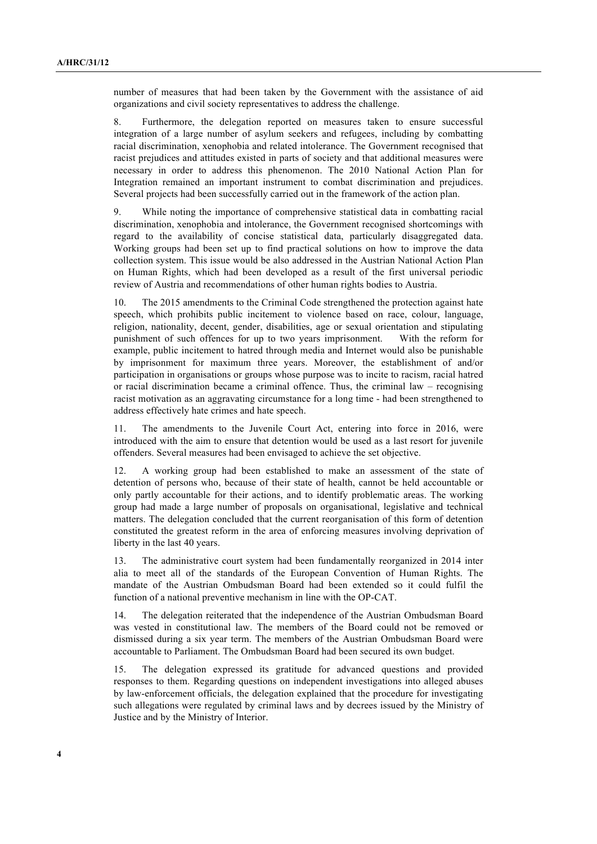number of measures that had been taken by the Government with the assistance of aid organizations and civil society representatives to address the challenge.

8. Furthermore, the delegation reported on measures taken to ensure successful integration of a large number of asylum seekers and refugees, including by combatting racial discrimination, xenophobia and related intolerance. The Government recognised that racist prejudices and attitudes existed in parts of society and that additional measures were necessary in order to address this phenomenon. The 2010 National Action Plan for Integration remained an important instrument to combat discrimination and prejudices. Several projects had been successfully carried out in the framework of the action plan.

9. While noting the importance of comprehensive statistical data in combatting racial discrimination, xenophobia and intolerance, the Government recognised shortcomings with regard to the availability of concise statistical data, particularly disaggregated data. Working groups had been set up to find practical solutions on how to improve the data collection system. This issue would be also addressed in the Austrian National Action Plan on Human Rights, which had been developed as a result of the first universal periodic review of Austria and recommendations of other human rights bodies to Austria.

10. The 2015 amendments to the Criminal Code strengthened the protection against hate speech, which prohibits public incitement to violence based on race, colour, language, religion, nationality, decent, gender, disabilities, age or sexual orientation and stipulating punishment of such offences for up to two years imprisonment. With the reform for example, public incitement to hatred through media and Internet would also be punishable by imprisonment for maximum three years. Moreover, the establishment of and/or participation in organisations or groups whose purpose was to incite to racism, racial hatred or racial discrimination became a criminal offence. Thus, the criminal law – recognising racist motivation as an aggravating circumstance for a long time - had been strengthened to address effectively hate crimes and hate speech.

11. The amendments to the Juvenile Court Act, entering into force in 2016, were introduced with the aim to ensure that detention would be used as a last resort for juvenile offenders. Several measures had been envisaged to achieve the set objective.

12. A working group had been established to make an assessment of the state of detention of persons who, because of their state of health, cannot be held accountable or only partly accountable for their actions, and to identify problematic areas. The working group had made a large number of proposals on organisational, legislative and technical matters. The delegation concluded that the current reorganisation of this form of detention constituted the greatest reform in the area of enforcing measures involving deprivation of liberty in the last 40 years.

13. The administrative court system had been fundamentally reorganized in 2014 inter alia to meet all of the standards of the European Convention of Human Rights. The mandate of the Austrian Ombudsman Board had been extended so it could fulfil the function of a national preventive mechanism in line with the OP-CAT.

14. The delegation reiterated that the independence of the Austrian Ombudsman Board was vested in constitutional law. The members of the Board could not be removed or dismissed during a six year term. The members of the Austrian Ombudsman Board were accountable to Parliament. The Ombudsman Board had been secured its own budget.

15. The delegation expressed its gratitude for advanced questions and provided responses to them. Regarding questions on independent investigations into alleged abuses by law-enforcement officials, the delegation explained that the procedure for investigating such allegations were regulated by criminal laws and by decrees issued by the Ministry of Justice and by the Ministry of Interior.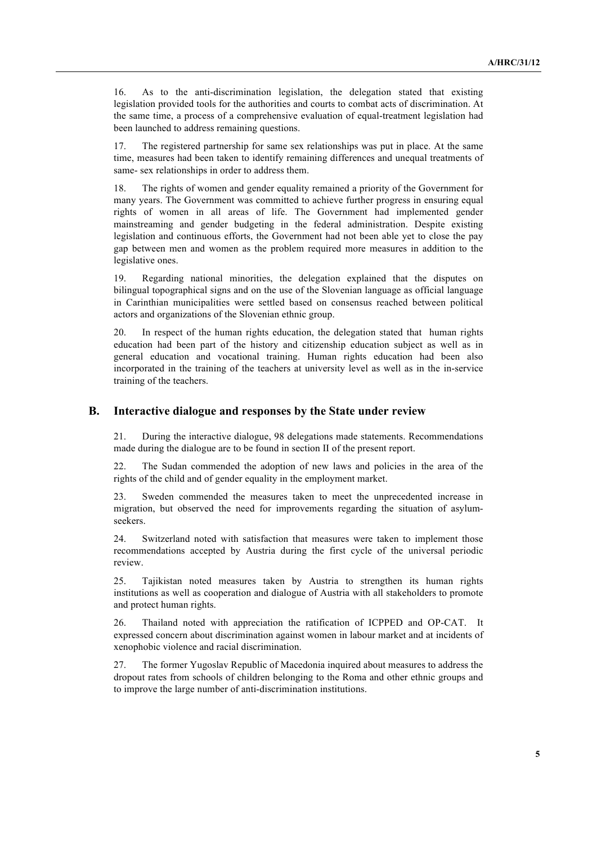16. As to the anti-discrimination legislation, the delegation stated that existing legislation provided tools for the authorities and courts to combat acts of discrimination. At the same time, a process of a comprehensive evaluation of equal-treatment legislation had been launched to address remaining questions.

17. The registered partnership for same sex relationships was put in place. At the same time, measures had been taken to identify remaining differences and unequal treatments of same- sex relationships in order to address them.

18. The rights of women and gender equality remained a priority of the Government for many years. The Government was committed to achieve further progress in ensuring equal rights of women in all areas of life. The Government had implemented gender mainstreaming and gender budgeting in the federal administration. Despite existing legislation and continuous efforts, the Government had not been able yet to close the pay gap between men and women as the problem required more measures in addition to the legislative ones.

19. Regarding national minorities, the delegation explained that the disputes on bilingual topographical signs and on the use of the Slovenian language as official language in Carinthian municipalities were settled based on consensus reached between political actors and organizations of the Slovenian ethnic group.

20. In respect of the human rights education, the delegation stated that human rights education had been part of the history and citizenship education subject as well as in general education and vocational training. Human rights education had been also incorporated in the training of the teachers at university level as well as in the in-service training of the teachers.

#### **B. Interactive dialogue and responses by the State under review**

21. During the interactive dialogue, 98 delegations made statements. Recommendations made during the dialogue are to be found in section II of the present report.

22. The Sudan commended the adoption of new laws and policies in the area of the rights of the child and of gender equality in the employment market.

23. Sweden commended the measures taken to meet the unprecedented increase in migration, but observed the need for improvements regarding the situation of asylumseekers.

24. Switzerland noted with satisfaction that measures were taken to implement those recommendations accepted by Austria during the first cycle of the universal periodic review.

25. Tajikistan noted measures taken by Austria to strengthen its human rights institutions as well as cooperation and dialogue of Austria with all stakeholders to promote and protect human rights.

26. Thailand noted with appreciation the ratification of ICPPED and OP-CAT. It expressed concern about discrimination against women in labour market and at incidents of xenophobic violence and racial discrimination.

27. The former Yugoslav Republic of Macedonia inquired about measures to address the dropout rates from schools of children belonging to the Roma and other ethnic groups and to improve the large number of anti-discrimination institutions.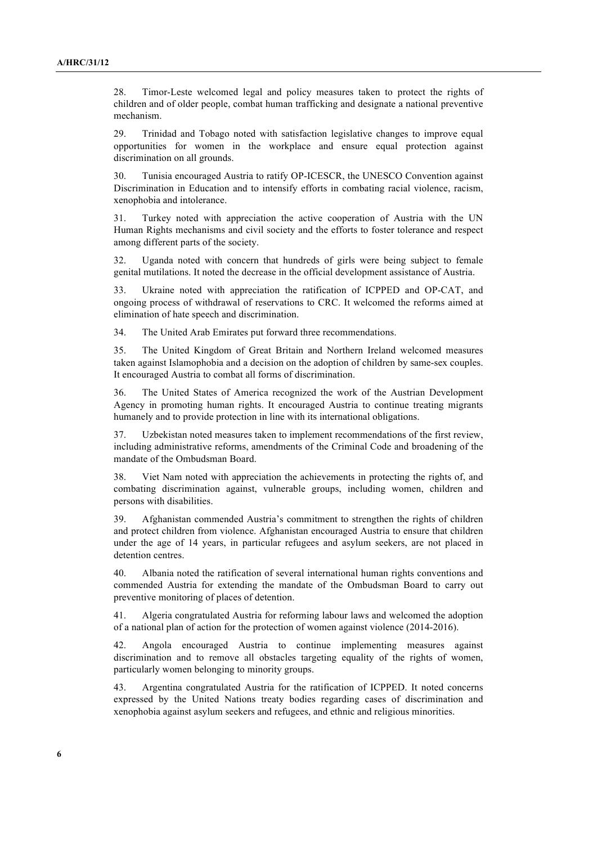28. Timor-Leste welcomed legal and policy measures taken to protect the rights of children and of older people, combat human trafficking and designate a national preventive mechanism.

29. Trinidad and Tobago noted with satisfaction legislative changes to improve equal opportunities for women in the workplace and ensure equal protection against discrimination on all grounds.

30. Tunisia encouraged Austria to ratify OP-ICESCR, the UNESCO Convention against Discrimination in Education and to intensify efforts in combating racial violence, racism, xenophobia and intolerance.

31. Turkey noted with appreciation the active cooperation of Austria with the UN Human Rights mechanisms and civil society and the efforts to foster tolerance and respect among different parts of the society.

32. Uganda noted with concern that hundreds of girls were being subject to female genital mutilations. It noted the decrease in the official development assistance of Austria.

33. Ukraine noted with appreciation the ratification of ICPPED and OP-CAT, and ongoing process of withdrawal of reservations to CRC. It welcomed the reforms aimed at elimination of hate speech and discrimination.

34. The United Arab Emirates put forward three recommendations.

35. The United Kingdom of Great Britain and Northern Ireland welcomed measures taken against Islamophobia and a decision on the adoption of children by same-sex couples. It encouraged Austria to combat all forms of discrimination.

36. The United States of America recognized the work of the Austrian Development Agency in promoting human rights. It encouraged Austria to continue treating migrants humanely and to provide protection in line with its international obligations.

37. Uzbekistan noted measures taken to implement recommendations of the first review, including administrative reforms, amendments of the Criminal Code and broadening of the mandate of the Ombudsman Board.

38. Viet Nam noted with appreciation the achievements in protecting the rights of, and combating discrimination against, vulnerable groups, including women, children and persons with disabilities.

39. Afghanistan commended Austria's commitment to strengthen the rights of children and protect children from violence. Afghanistan encouraged Austria to ensure that children under the age of 14 years, in particular refugees and asylum seekers, are not placed in detention centres.

40. Albania noted the ratification of several international human rights conventions and commended Austria for extending the mandate of the Ombudsman Board to carry out preventive monitoring of places of detention.

41. Algeria congratulated Austria for reforming labour laws and welcomed the adoption of a national plan of action for the protection of women against violence (2014-2016).

42. Angola encouraged Austria to continue implementing measures against discrimination and to remove all obstacles targeting equality of the rights of women, particularly women belonging to minority groups.

43. Argentina congratulated Austria for the ratification of ICPPED. It noted concerns expressed by the United Nations treaty bodies regarding cases of discrimination and xenophobia against asylum seekers and refugees, and ethnic and religious minorities.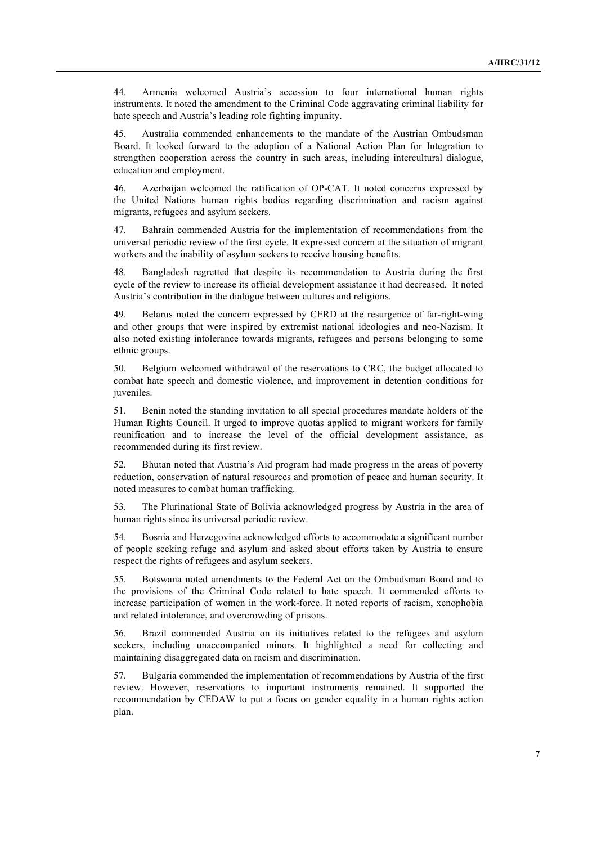44. Armenia welcomed Austria's accession to four international human rights instruments. It noted the amendment to the Criminal Code aggravating criminal liability for hate speech and Austria's leading role fighting impunity.

45. Australia commended enhancements to the mandate of the Austrian Ombudsman Board. It looked forward to the adoption of a National Action Plan for Integration to strengthen cooperation across the country in such areas, including intercultural dialogue, education and employment.

46. Azerbaijan welcomed the ratification of OP-CAT. It noted concerns expressed by the United Nations human rights bodies regarding discrimination and racism against migrants, refugees and asylum seekers.

47. Bahrain commended Austria for the implementation of recommendations from the universal periodic review of the first cycle. It expressed concern at the situation of migrant workers and the inability of asylum seekers to receive housing benefits.

48. Bangladesh regretted that despite its recommendation to Austria during the first cycle of the review to increase its official development assistance it had decreased. It noted Austria's contribution in the dialogue between cultures and religions.

49. Belarus noted the concern expressed by CERD at the resurgence of far-right-wing and other groups that were inspired by extremist national ideologies and neo-Nazism. It also noted existing intolerance towards migrants, refugees and persons belonging to some ethnic groups.

50. Belgium welcomed withdrawal of the reservations to CRC, the budget allocated to combat hate speech and domestic violence, and improvement in detention conditions for juveniles.

51. Benin noted the standing invitation to all special procedures mandate holders of the Human Rights Council. It urged to improve quotas applied to migrant workers for family reunification and to increase the level of the official development assistance, as recommended during its first review.

52. Bhutan noted that Austria's Aid program had made progress in the areas of poverty reduction, conservation of natural resources and promotion of peace and human security. It noted measures to combat human trafficking.

53. The Plurinational State of Bolivia acknowledged progress by Austria in the area of human rights since its universal periodic review.

54. Bosnia and Herzegovina acknowledged efforts to accommodate a significant number of people seeking refuge and asylum and asked about efforts taken by Austria to ensure respect the rights of refugees and asylum seekers.

55. Botswana noted amendments to the Federal Act on the Ombudsman Board and to the provisions of the Criminal Code related to hate speech. It commended efforts to increase participation of women in the work-force. It noted reports of racism, xenophobia and related intolerance, and overcrowding of prisons.

56. Brazil commended Austria on its initiatives related to the refugees and asylum seekers, including unaccompanied minors. It highlighted a need for collecting and maintaining disaggregated data on racism and discrimination.

57. Bulgaria commended the implementation of recommendations by Austria of the first review. However, reservations to important instruments remained. It supported the recommendation by CEDAW to put a focus on gender equality in a human rights action plan.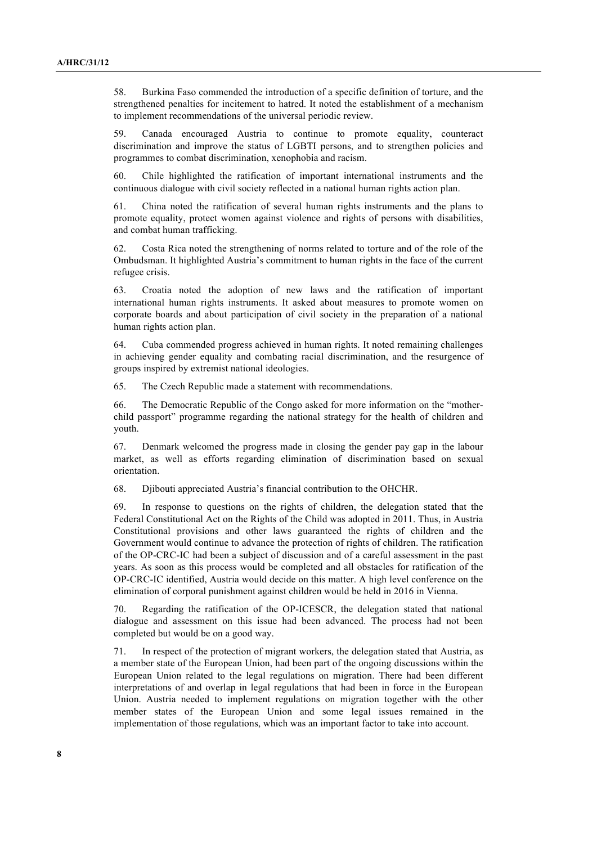58. Burkina Faso commended the introduction of a specific definition of torture, and the strengthened penalties for incitement to hatred. It noted the establishment of a mechanism to implement recommendations of the universal periodic review.

59. Canada encouraged Austria to continue to promote equality, counteract discrimination and improve the status of LGBTI persons, and to strengthen policies and programmes to combat discrimination, xenophobia and racism.

60. Chile highlighted the ratification of important international instruments and the continuous dialogue with civil society reflected in a national human rights action plan.

61. China noted the ratification of several human rights instruments and the plans to promote equality, protect women against violence and rights of persons with disabilities, and combat human trafficking.

62. Costa Rica noted the strengthening of norms related to torture and of the role of the Ombudsman. It highlighted Austria's commitment to human rights in the face of the current refugee crisis.

63. Croatia noted the adoption of new laws and the ratification of important international human rights instruments. It asked about measures to promote women on corporate boards and about participation of civil society in the preparation of a national human rights action plan.

64. Cuba commended progress achieved in human rights. It noted remaining challenges in achieving gender equality and combating racial discrimination, and the resurgence of groups inspired by extremist national ideologies.

65. The Czech Republic made a statement with recommendations.

66. The Democratic Republic of the Congo asked for more information on the "motherchild passport" programme regarding the national strategy for the health of children and youth.

67. Denmark welcomed the progress made in closing the gender pay gap in the labour market, as well as efforts regarding elimination of discrimination based on sexual orientation.

68. Djibouti appreciated Austria's financial contribution to the OHCHR.

69. In response to questions on the rights of children, the delegation stated that the Federal Constitutional Act on the Rights of the Child was adopted in 2011. Thus, in Austria Constitutional provisions and other laws guaranteed the rights of children and the Government would continue to advance the protection of rights of children. The ratification of the OP-CRC-IC had been a subject of discussion and of a careful assessment in the past years. As soon as this process would be completed and all obstacles for ratification of the OP-CRC-IC identified, Austria would decide on this matter. A high level conference on the elimination of corporal punishment against children would be held in 2016 in Vienna.

70. Regarding the ratification of the OP-ICESCR, the delegation stated that national dialogue and assessment on this issue had been advanced. The process had not been completed but would be on a good way.

71. In respect of the protection of migrant workers, the delegation stated that Austria, as a member state of the European Union, had been part of the ongoing discussions within the European Union related to the legal regulations on migration. There had been different interpretations of and overlap in legal regulations that had been in force in the European Union. Austria needed to implement regulations on migration together with the other member states of the European Union and some legal issues remained in the implementation of those regulations, which was an important factor to take into account.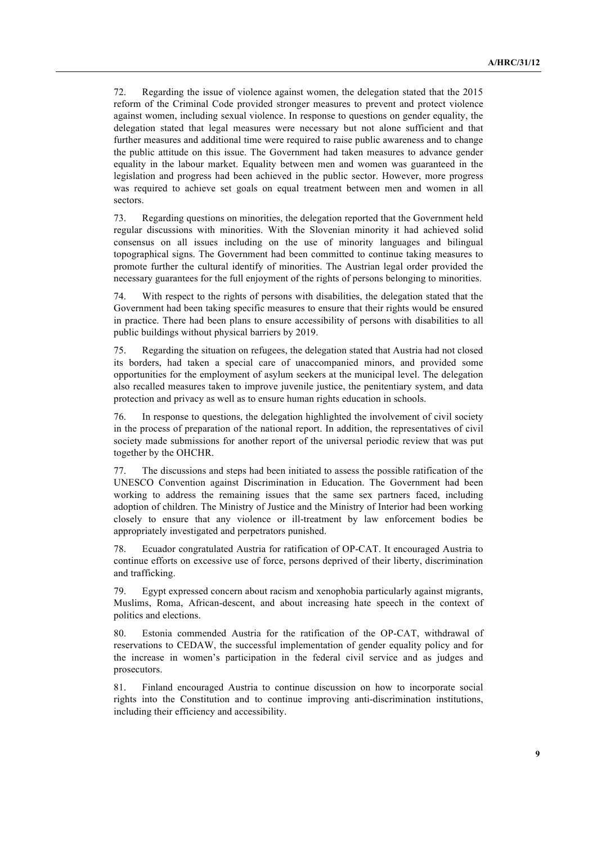72. Regarding the issue of violence against women, the delegation stated that the 2015 reform of the Criminal Code provided stronger measures to prevent and protect violence against women, including sexual violence. In response to questions on gender equality, the delegation stated that legal measures were necessary but not alone sufficient and that further measures and additional time were required to raise public awareness and to change the public attitude on this issue. The Government had taken measures to advance gender equality in the labour market. Equality between men and women was guaranteed in the legislation and progress had been achieved in the public sector. However, more progress was required to achieve set goals on equal treatment between men and women in all sectors.

73. Regarding questions on minorities, the delegation reported that the Government held regular discussions with minorities. With the Slovenian minority it had achieved solid consensus on all issues including on the use of minority languages and bilingual topographical signs. The Government had been committed to continue taking measures to promote further the cultural identify of minorities. The Austrian legal order provided the necessary guarantees for the full enjoyment of the rights of persons belonging to minorities.

74. With respect to the rights of persons with disabilities, the delegation stated that the Government had been taking specific measures to ensure that their rights would be ensured in practice. There had been plans to ensure accessibility of persons with disabilities to all public buildings without physical barriers by 2019.

75. Regarding the situation on refugees, the delegation stated that Austria had not closed its borders, had taken a special care of unaccompanied minors, and provided some opportunities for the employment of asylum seekers at the municipal level. The delegation also recalled measures taken to improve juvenile justice, the penitentiary system, and data protection and privacy as well as to ensure human rights education in schools.

76. In response to questions, the delegation highlighted the involvement of civil society in the process of preparation of the national report. In addition, the representatives of civil society made submissions for another report of the universal periodic review that was put together by the OHCHR.

77. The discussions and steps had been initiated to assess the possible ratification of the UNESCO Convention against Discrimination in Education. The Government had been working to address the remaining issues that the same sex partners faced, including adoption of children. The Ministry of Justice and the Ministry of Interior had been working closely to ensure that any violence or ill-treatment by law enforcement bodies be appropriately investigated and perpetrators punished.

78. Ecuador congratulated Austria for ratification of OP-CAT. It encouraged Austria to continue efforts on excessive use of force, persons deprived of their liberty, discrimination and trafficking.

79. Egypt expressed concern about racism and xenophobia particularly against migrants, Muslims, Roma, African-descent, and about increasing hate speech in the context of politics and elections.

80. Estonia commended Austria for the ratification of the OP-CAT, withdrawal of reservations to CEDAW, the successful implementation of gender equality policy and for the increase in women's participation in the federal civil service and as judges and prosecutors.

81. Finland encouraged Austria to continue discussion on how to incorporate social rights into the Constitution and to continue improving anti-discrimination institutions, including their efficiency and accessibility.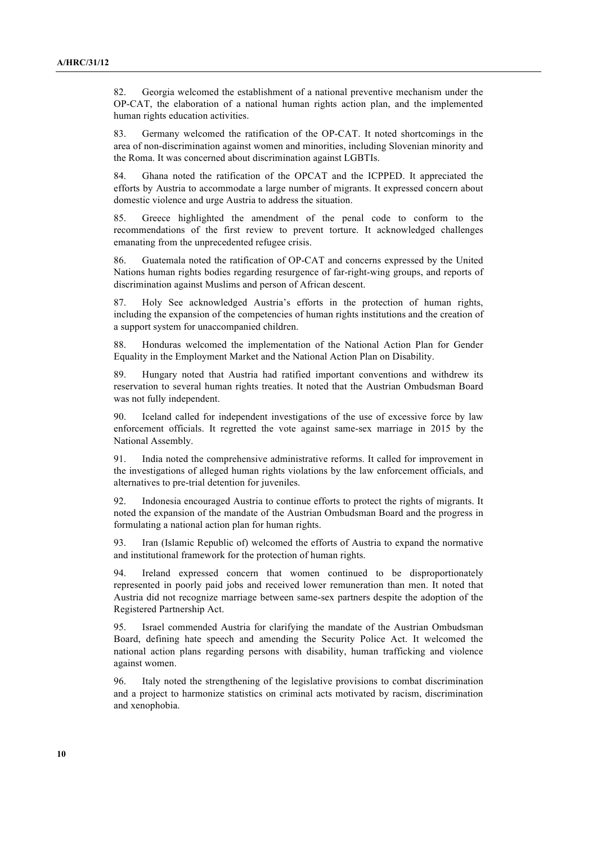82. Georgia welcomed the establishment of a national preventive mechanism under the OP-CAT, the elaboration of a national human rights action plan, and the implemented human rights education activities.

83. Germany welcomed the ratification of the OP-CAT. It noted shortcomings in the area of non-discrimination against women and minorities, including Slovenian minority and the Roma. It was concerned about discrimination against LGBTIs.

84. Ghana noted the ratification of the OPCAT and the ICPPED. It appreciated the efforts by Austria to accommodate a large number of migrants. It expressed concern about domestic violence and urge Austria to address the situation.

85. Greece highlighted the amendment of the penal code to conform to the recommendations of the first review to prevent torture. It acknowledged challenges emanating from the unprecedented refugee crisis.

86. Guatemala noted the ratification of OP-CAT and concerns expressed by the United Nations human rights bodies regarding resurgence of far-right-wing groups, and reports of discrimination against Muslims and person of African descent.

87. Holy See acknowledged Austria's efforts in the protection of human rights, including the expansion of the competencies of human rights institutions and the creation of a support system for unaccompanied children.

88. Honduras welcomed the implementation of the National Action Plan for Gender Equality in the Employment Market and the National Action Plan on Disability.

89. Hungary noted that Austria had ratified important conventions and withdrew its reservation to several human rights treaties. It noted that the Austrian Ombudsman Board was not fully independent.

90. Iceland called for independent investigations of the use of excessive force by law enforcement officials. It regretted the vote against same-sex marriage in 2015 by the National Assembly.

91. India noted the comprehensive administrative reforms. It called for improvement in the investigations of alleged human rights violations by the law enforcement officials, and alternatives to pre-trial detention for juveniles.

92. Indonesia encouraged Austria to continue efforts to protect the rights of migrants. It noted the expansion of the mandate of the Austrian Ombudsman Board and the progress in formulating a national action plan for human rights.

93. Iran (Islamic Republic of) welcomed the efforts of Austria to expand the normative and institutional framework for the protection of human rights.

94. Ireland expressed concern that women continued to be disproportionately represented in poorly paid jobs and received lower remuneration than men. It noted that Austria did not recognize marriage between same-sex partners despite the adoption of the Registered Partnership Act.

95. Israel commended Austria for clarifying the mandate of the Austrian Ombudsman Board, defining hate speech and amending the Security Police Act. It welcomed the national action plans regarding persons with disability, human trafficking and violence against women.

96. Italy noted the strengthening of the legislative provisions to combat discrimination and a project to harmonize statistics on criminal acts motivated by racism, discrimination and xenophobia.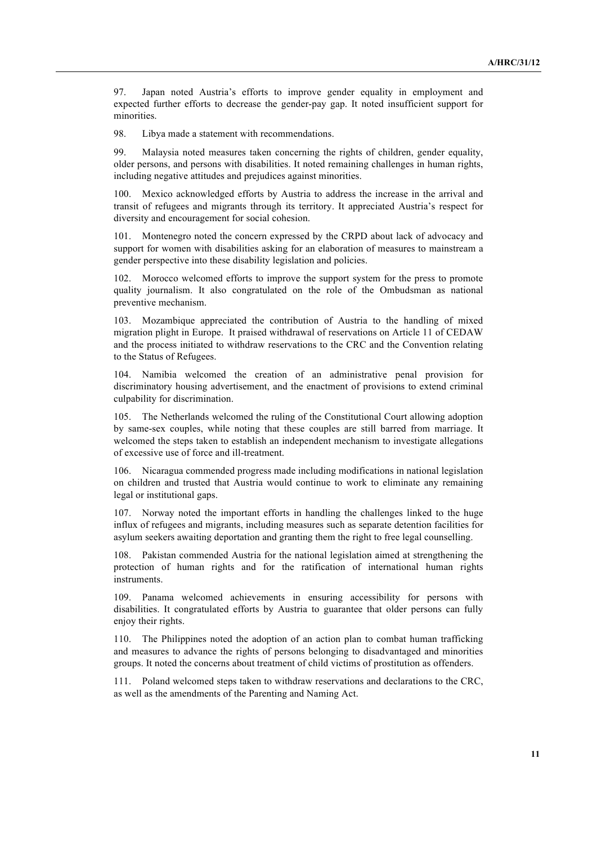97. Japan noted Austria's efforts to improve gender equality in employment and expected further efforts to decrease the gender-pay gap. It noted insufficient support for minorities.

98. Libya made a statement with recommendations.

99. Malaysia noted measures taken concerning the rights of children, gender equality, older persons, and persons with disabilities. It noted remaining challenges in human rights, including negative attitudes and prejudices against minorities.

100. Mexico acknowledged efforts by Austria to address the increase in the arrival and transit of refugees and migrants through its territory. It appreciated Austria's respect for diversity and encouragement for social cohesion.

101. Montenegro noted the concern expressed by the CRPD about lack of advocacy and support for women with disabilities asking for an elaboration of measures to mainstream a gender perspective into these disability legislation and policies.

102. Morocco welcomed efforts to improve the support system for the press to promote quality journalism. It also congratulated on the role of the Ombudsman as national preventive mechanism.

103. Mozambique appreciated the contribution of Austria to the handling of mixed migration plight in Europe. It praised withdrawal of reservations on Article 11 of CEDAW and the process initiated to withdraw reservations to the CRC and the Convention relating to the Status of Refugees.

104. Namibia welcomed the creation of an administrative penal provision for discriminatory housing advertisement, and the enactment of provisions to extend criminal culpability for discrimination.

105. The Netherlands welcomed the ruling of the Constitutional Court allowing adoption by same-sex couples, while noting that these couples are still barred from marriage. It welcomed the steps taken to establish an independent mechanism to investigate allegations of excessive use of force and ill-treatment.

106. Nicaragua commended progress made including modifications in national legislation on children and trusted that Austria would continue to work to eliminate any remaining legal or institutional gaps.

107. Norway noted the important efforts in handling the challenges linked to the huge influx of refugees and migrants, including measures such as separate detention facilities for asylum seekers awaiting deportation and granting them the right to free legal counselling.

108. Pakistan commended Austria for the national legislation aimed at strengthening the protection of human rights and for the ratification of international human rights instruments.

109. Panama welcomed achievements in ensuring accessibility for persons with disabilities. It congratulated efforts by Austria to guarantee that older persons can fully enjoy their rights.

110. The Philippines noted the adoption of an action plan to combat human trafficking and measures to advance the rights of persons belonging to disadvantaged and minorities groups. It noted the concerns about treatment of child victims of prostitution as offenders.

111. Poland welcomed steps taken to withdraw reservations and declarations to the CRC, as well as the amendments of the Parenting and Naming Act.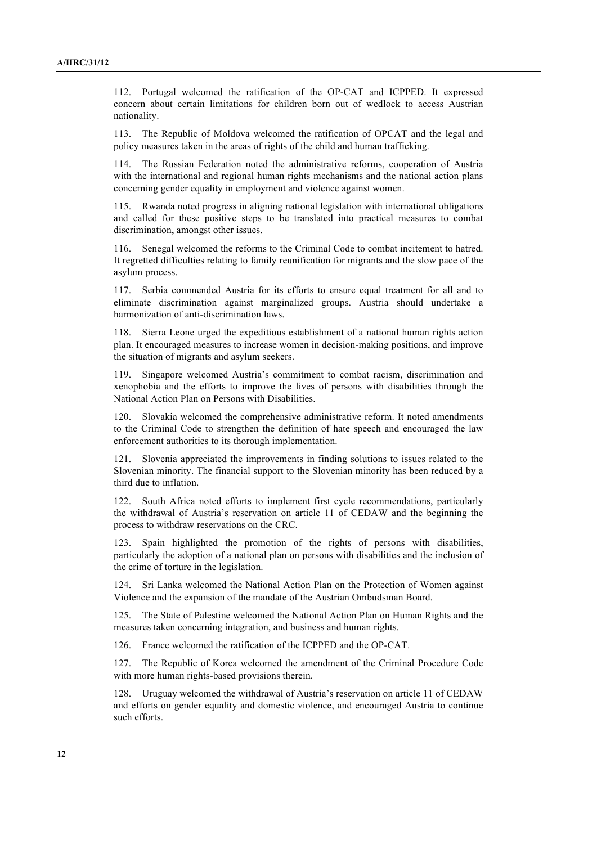112. Portugal welcomed the ratification of the OP-CAT and ICPPED. It expressed concern about certain limitations for children born out of wedlock to access Austrian nationality.

113. The Republic of Moldova welcomed the ratification of OPCAT and the legal and policy measures taken in the areas of rights of the child and human trafficking.

114. The Russian Federation noted the administrative reforms, cooperation of Austria with the international and regional human rights mechanisms and the national action plans concerning gender equality in employment and violence against women.

115. Rwanda noted progress in aligning national legislation with international obligations and called for these positive steps to be translated into practical measures to combat discrimination, amongst other issues.

116. Senegal welcomed the reforms to the Criminal Code to combat incitement to hatred. It regretted difficulties relating to family reunification for migrants and the slow pace of the asylum process.

117. Serbia commended Austria for its efforts to ensure equal treatment for all and to eliminate discrimination against marginalized groups. Austria should undertake a harmonization of anti-discrimination laws.

118. Sierra Leone urged the expeditious establishment of a national human rights action plan. It encouraged measures to increase women in decision-making positions, and improve the situation of migrants and asylum seekers.

119. Singapore welcomed Austria's commitment to combat racism, discrimination and xenophobia and the efforts to improve the lives of persons with disabilities through the National Action Plan on Persons with Disabilities.

120. Slovakia welcomed the comprehensive administrative reform. It noted amendments to the Criminal Code to strengthen the definition of hate speech and encouraged the law enforcement authorities to its thorough implementation.

121. Slovenia appreciated the improvements in finding solutions to issues related to the Slovenian minority. The financial support to the Slovenian minority has been reduced by a third due to inflation.

122. South Africa noted efforts to implement first cycle recommendations, particularly the withdrawal of Austria's reservation on article 11 of CEDAW and the beginning the process to withdraw reservations on the CRC.

Spain highlighted the promotion of the rights of persons with disabilities, particularly the adoption of a national plan on persons with disabilities and the inclusion of the crime of torture in the legislation.

124. Sri Lanka welcomed the National Action Plan on the Protection of Women against Violence and the expansion of the mandate of the Austrian Ombudsman Board.

125. The State of Palestine welcomed the National Action Plan on Human Rights and the measures taken concerning integration, and business and human rights.

126. France welcomed the ratification of the ICPPED and the OP-CAT.

127. The Republic of Korea welcomed the amendment of the Criminal Procedure Code with more human rights-based provisions therein.

128. Uruguay welcomed the withdrawal of Austria's reservation on article 11 of CEDAW and efforts on gender equality and domestic violence, and encouraged Austria to continue such efforts.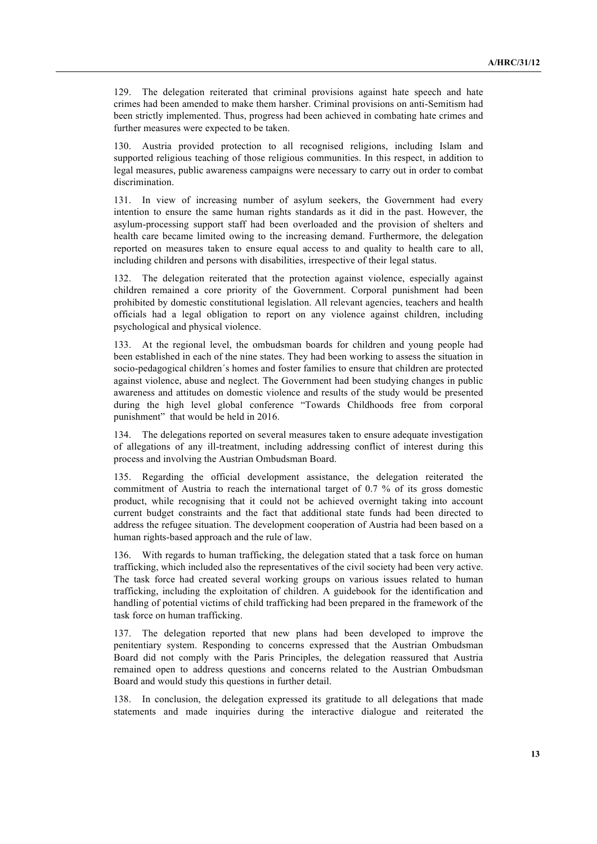129. The delegation reiterated that criminal provisions against hate speech and hate crimes had been amended to make them harsher. Criminal provisions on anti-Semitism had been strictly implemented. Thus, progress had been achieved in combating hate crimes and further measures were expected to be taken.

Austria provided protection to all recognised religions, including Islam and supported religious teaching of those religious communities. In this respect, in addition to legal measures, public awareness campaigns were necessary to carry out in order to combat discrimination.

131. In view of increasing number of asylum seekers, the Government had every intention to ensure the same human rights standards as it did in the past. However, the asylum-processing support staff had been overloaded and the provision of shelters and health care became limited owing to the increasing demand. Furthermore, the delegation reported on measures taken to ensure equal access to and quality to health care to all, including children and persons with disabilities, irrespective of their legal status.

132. The delegation reiterated that the protection against violence, especially against children remained a core priority of the Government. Corporal punishment had been prohibited by domestic constitutional legislation. All relevant agencies, teachers and health officials had a legal obligation to report on any violence against children, including psychological and physical violence.

133. At the regional level, the ombudsman boards for children and young people had been established in each of the nine states. They had been working to assess the situation in socio-pedagogical children´s homes and foster families to ensure that children are protected against violence, abuse and neglect. The Government had been studying changes in public awareness and attitudes on domestic violence and results of the study would be presented during the high level global conference "Towards Childhoods free from corporal punishment" that would be held in 2016.

134. The delegations reported on several measures taken to ensure adequate investigation of allegations of any ill-treatment, including addressing conflict of interest during this process and involving the Austrian Ombudsman Board.

135. Regarding the official development assistance, the delegation reiterated the commitment of Austria to reach the international target of 0.7 % of its gross domestic product, while recognising that it could not be achieved overnight taking into account current budget constraints and the fact that additional state funds had been directed to address the refugee situation. The development cooperation of Austria had been based on a human rights-based approach and the rule of law.

136. With regards to human trafficking, the delegation stated that a task force on human trafficking, which included also the representatives of the civil society had been very active. The task force had created several working groups on various issues related to human trafficking, including the exploitation of children. A guidebook for the identification and handling of potential victims of child trafficking had been prepared in the framework of the task force on human trafficking.

137. The delegation reported that new plans had been developed to improve the penitentiary system. Responding to concerns expressed that the Austrian Ombudsman Board did not comply with the Paris Principles, the delegation reassured that Austria remained open to address questions and concerns related to the Austrian Ombudsman Board and would study this questions in further detail.

138. In conclusion, the delegation expressed its gratitude to all delegations that made statements and made inquiries during the interactive dialogue and reiterated the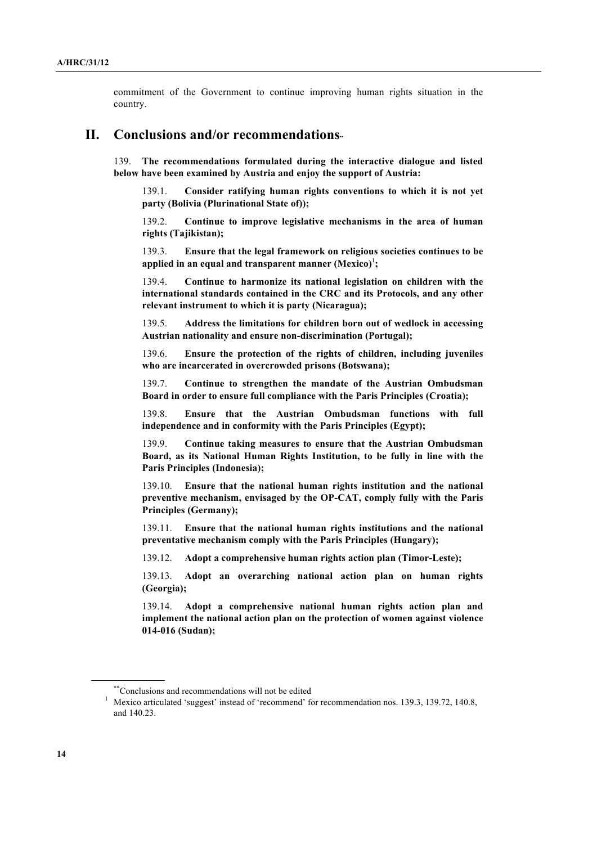commitment of the Government to continue improving human rights situation in the country.

## **II. Conclusions and/or recommendations**∗∗

139. **The recommendations formulated during the interactive dialogue and listed below have been examined by Austria and enjoy the support of Austria:**

139.1. **Consider ratifying human rights conventions to which it is not yet party (Bolivia (Plurinational State of));**

139.2. **Continue to improve legislative mechanisms in the area of human rights (Tajikistan);**

139.3. **Ensure that the legal framework on religious societies continues to be**  applied in an equal and transparent manner (Mexico)<sup>1</sup>;

139.4. **Continue to harmonize its national legislation on children with the international standards contained in the CRC and its Protocols, and any other relevant instrument to which it is party (Nicaragua);**

139.5. **Address the limitations for children born out of wedlock in accessing Austrian nationality and ensure non-discrimination (Portugal);**

139.6. **Ensure the protection of the rights of children, including juveniles who are incarcerated in overcrowded prisons (Botswana);**

139.7. **Continue to strengthen the mandate of the Austrian Ombudsman Board in order to ensure full compliance with the Paris Principles (Croatia);**

139.8. **Ensure that the Austrian Ombudsman functions with full independence and in conformity with the Paris Principles (Egypt);**

139.9. **Continue taking measures to ensure that the Austrian Ombudsman Board, as its National Human Rights Institution, to be fully in line with the Paris Principles (Indonesia);**

139.10. **Ensure that the national human rights institution and the national preventive mechanism, envisaged by the OP-CAT, comply fully with the Paris Principles (Germany);**

139.11. **Ensure that the national human rights institutions and the national preventative mechanism comply with the Paris Principles (Hungary);**

139.12. **Adopt a comprehensive human rights action plan (Timor-Leste);**

139.13. **Adopt an overarching national action plan on human rights (Georgia);**

139.14. **Adopt a comprehensive national human rights action plan and implement the national action plan on the protection of women against violence 014-016 (Sudan);**

<sup>\*\*</sup>Conclusions and recommendations will not be edited

<sup>&</sup>lt;sup>1</sup> Mexico articulated 'suggest' instead of 'recommend' for recommendation nos. 139.3, 139.72, 140.8, and 140.23.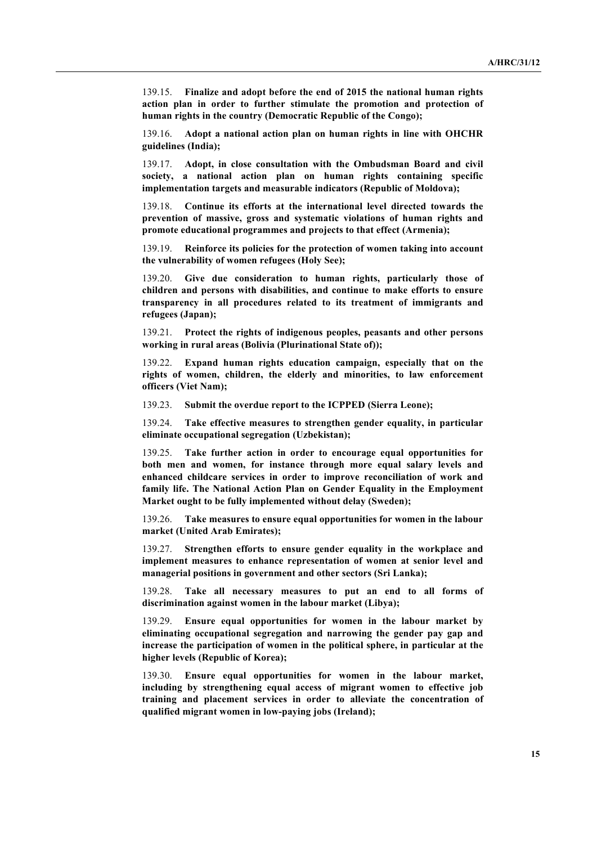139.15. **Finalize and adopt before the end of 2015 the national human rights action plan in order to further stimulate the promotion and protection of human rights in the country (Democratic Republic of the Congo);** 

139.16. **Adopt a national action plan on human rights in line with OHCHR guidelines (India);**

139.17. **Adopt, in close consultation with the Ombudsman Board and civil society, a national action plan on human rights containing specific implementation targets and measurable indicators (Republic of Moldova);**

139.18. **Continue its efforts at the international level directed towards the prevention of massive, gross and systematic violations of human rights and promote educational programmes and projects to that effect (Armenia);**

139.19. **Reinforce its policies for the protection of women taking into account the vulnerability of women refugees (Holy See);**

139.20. **Give due consideration to human rights, particularly those of children and persons with disabilities, and continue to make efforts to ensure transparency in all procedures related to its treatment of immigrants and refugees (Japan);**

139.21. **Protect the rights of indigenous peoples, peasants and other persons working in rural areas (Bolivia (Plurinational State of));**

139.22. **Expand human rights education campaign, especially that on the rights of women, children, the elderly and minorities, to law enforcement officers (Viet Nam);**

139.23. **Submit the overdue report to the ICPPED (Sierra Leone);**

139.24. **Take effective measures to strengthen gender equality, in particular eliminate occupational segregation (Uzbekistan);**

139.25. **Take further action in order to encourage equal opportunities for both men and women, for instance through more equal salary levels and enhanced childcare services in order to improve reconciliation of work and family life. The National Action Plan on Gender Equality in the Employment Market ought to be fully implemented without delay (Sweden);**

139.26. **Take measures to ensure equal opportunities for women in the labour market (United Arab Emirates);**

139.27. **Strengthen efforts to ensure gender equality in the workplace and implement measures to enhance representation of women at senior level and managerial positions in government and other sectors (Sri Lanka);**

139.28. **Take all necessary measures to put an end to all forms of discrimination against women in the labour market (Libya);**

139.29. **Ensure equal opportunities for women in the labour market by eliminating occupational segregation and narrowing the gender pay gap and increase the participation of women in the political sphere, in particular at the higher levels (Republic of Korea);**

139.30. **Ensure equal opportunities for women in the labour market, including by strengthening equal access of migrant women to effective job training and placement services in order to alleviate the concentration of qualified migrant women in low-paying jobs (Ireland);**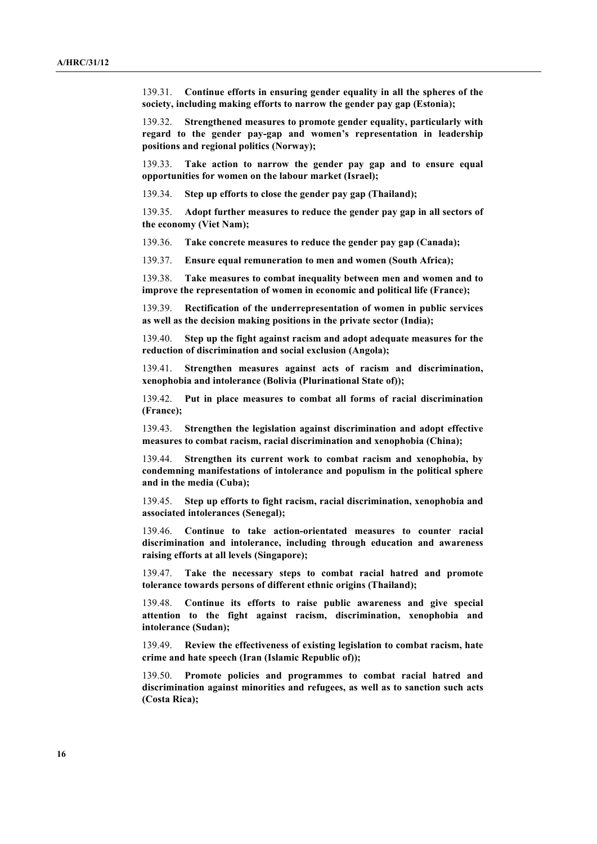139.31. **Continue efforts in ensuring gender equality in all the spheres of the society, including making efforts to narrow the gender pay gap (Estonia);**

139.32. **Strengthened measures to promote gender equality, particularly with regard to the gender pay-gap and women's representation in leadership positions and regional politics (Norway);**

139.33. **Take action to narrow the gender pay gap and to ensure equal opportunities for women on the labour market (Israel);**

139.34. **Step up efforts to close the gender pay gap (Thailand);**

139.35. **Adopt further measures to reduce the gender pay gap in all sectors of the economy (Viet Nam);**

139.36. **Take concrete measures to reduce the gender pay gap (Canada);**

139.37. **Ensure equal remuneration to men and women (South Africa);**

139.38. **Take measures to combat inequality between men and women and to improve the representation of women in economic and political life (France);**

139.39. **Rectification of the underrepresentation of women in public services as well as the decision making positions in the private sector (India);**

139.40. **Step up the fight against racism and adopt adequate measures for the reduction of discrimination and social exclusion (Angola);**

139.41. **Strengthen measures against acts of racism and discrimination, xenophobia and intolerance (Bolivia (Plurinational State of));**

139.42. **Put in place measures to combat all forms of racial discrimination (France);**

139.43. **Strengthen the legislation against discrimination and adopt effective measures to combat racism, racial discrimination and xenophobia (China);**

139.44. **Strengthen its current work to combat racism and xenophobia, by condemning manifestations of intolerance and populism in the political sphere and in the media (Cuba);**

139.45. **Step up efforts to fight racism, racial discrimination, xenophobia and associated intolerances (Senegal);**

139.46. **Continue to take action-orientated measures to counter racial discrimination and intolerance, including through education and awareness raising efforts at all levels (Singapore);**

139.47. **Take the necessary steps to combat racial hatred and promote tolerance towards persons of different ethnic origins (Thailand);**

139.48. **Continue its efforts to raise public awareness and give special attention to the fight against racism, discrimination, xenophobia and intolerance (Sudan);**

139.49. **Review the effectiveness of existing legislation to combat racism, hate crime and hate speech (Iran (Islamic Republic of));**

139.50. **Promote policies and programmes to combat racial hatred and discrimination against minorities and refugees, as well as to sanction such acts (Costa Rica);**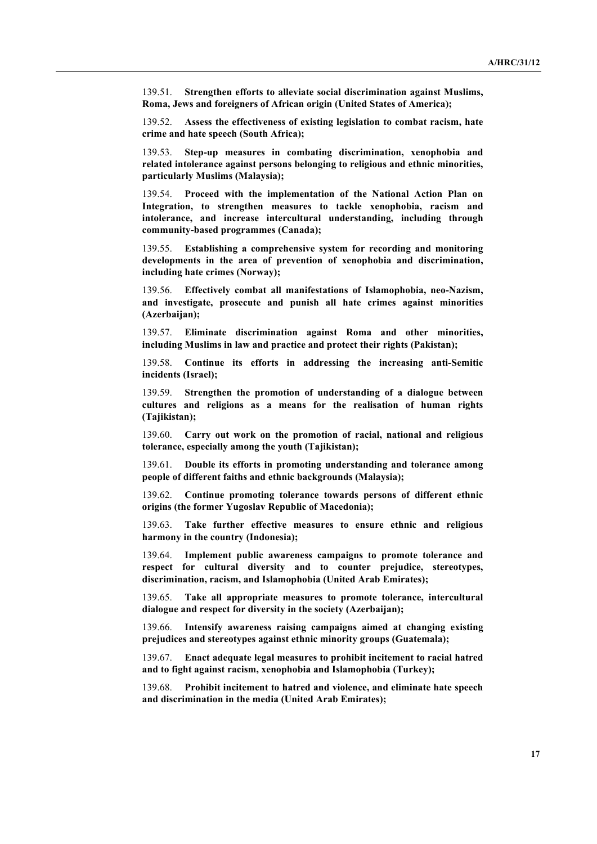139.51. **Strengthen efforts to alleviate social discrimination against Muslims, Roma, Jews and foreigners of African origin (United States of America);**

139.52. **Assess the effectiveness of existing legislation to combat racism, hate crime and hate speech (South Africa);**

139.53. **Step-up measures in combating discrimination, xenophobia and related intolerance against persons belonging to religious and ethnic minorities, particularly Muslims (Malaysia);**

139.54. **Proceed with the implementation of the National Action Plan on Integration, to strengthen measures to tackle xenophobia, racism and intolerance, and increase intercultural understanding, including through community-based programmes (Canada);**

139.55. **Establishing a comprehensive system for recording and monitoring developments in the area of prevention of xenophobia and discrimination, including hate crimes (Norway);**

139.56. **Effectively combat all manifestations of Islamophobia, neo-Nazism, and investigate, prosecute and punish all hate crimes against minorities (Azerbaijan);**

139.57. **Eliminate discrimination against Roma and other minorities, including Muslims in law and practice and protect their rights (Pakistan);**

139.58. **Continue its efforts in addressing the increasing anti-Semitic incidents (Israel);**

139.59. **Strengthen the promotion of understanding of a dialogue between cultures and religions as a means for the realisation of human rights (Tajikistan);**

139.60. **Carry out work on the promotion of racial, national and religious tolerance, especially among the youth (Tajikistan);**

139.61. **Double its efforts in promoting understanding and tolerance among people of different faiths and ethnic backgrounds (Malaysia);**

139.62. **Continue promoting tolerance towards persons of different ethnic origins (the former Yugoslav Republic of Macedonia);**

139.63. **Take further effective measures to ensure ethnic and religious harmony in the country (Indonesia);**

139.64. **Implement public awareness campaigns to promote tolerance and respect for cultural diversity and to counter prejudice, stereotypes, discrimination, racism, and Islamophobia (United Arab Emirates);**

139.65. **Take all appropriate measures to promote tolerance, intercultural dialogue and respect for diversity in the society (Azerbaijan);**

139.66. **Intensify awareness raising campaigns aimed at changing existing prejudices and stereotypes against ethnic minority groups (Guatemala);** 

139.67. **Enact adequate legal measures to prohibit incitement to racial hatred and to fight against racism, xenophobia and Islamophobia (Turkey);** 

139.68. **Prohibit incitement to hatred and violence, and eliminate hate speech and discrimination in the media (United Arab Emirates);**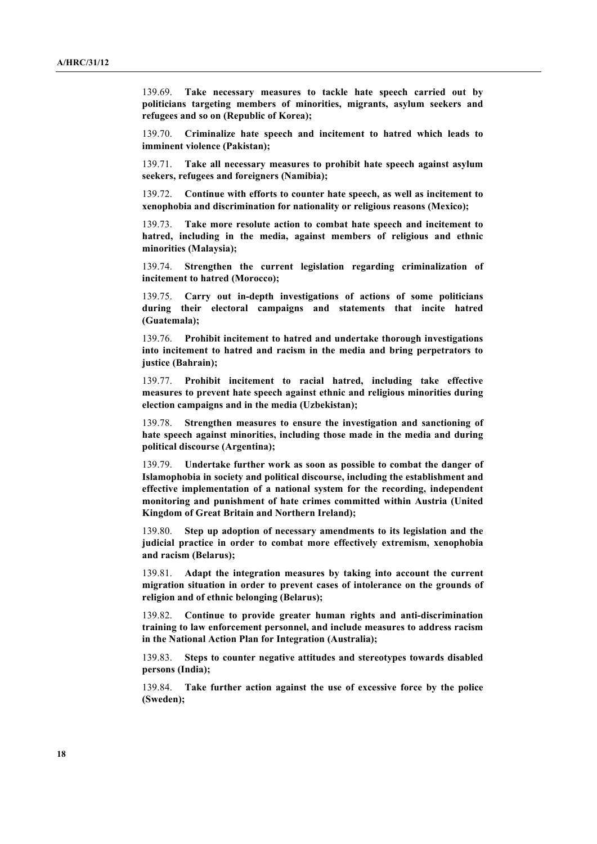139.69. **Take necessary measures to tackle hate speech carried out by politicians targeting members of minorities, migrants, asylum seekers and refugees and so on (Republic of Korea);** 

139.70. **Criminalize hate speech and incitement to hatred which leads to imminent violence (Pakistan);**

139.71. **Take all necessary measures to prohibit hate speech against asylum seekers, refugees and foreigners (Namibia);**

139.72. **Continue with efforts to counter hate speech, as well as incitement to xenophobia and discrimination for nationality or religious reasons (Mexico);**

139.73. **Take more resolute action to combat hate speech and incitement to hatred, including in the media, against members of religious and ethnic minorities (Malaysia);**

139.74. **Strengthen the current legislation regarding criminalization of incitement to hatred (Morocco);**

139.75. **Carry out in-depth investigations of actions of some politicians during their electoral campaigns and statements that incite hatred (Guatemala);**

139.76. **Prohibit incitement to hatred and undertake thorough investigations into incitement to hatred and racism in the media and bring perpetrators to justice (Bahrain);**

139.77. **Prohibit incitement to racial hatred, including take effective measures to prevent hate speech against ethnic and religious minorities during election campaigns and in the media (Uzbekistan);**

139.78. **Strengthen measures to ensure the investigation and sanctioning of hate speech against minorities, including those made in the media and during political discourse (Argentina);**

139.79. **Undertake further work as soon as possible to combat the danger of Islamophobia in society and political discourse, including the establishment and effective implementation of a national system for the recording, independent monitoring and punishment of hate crimes committed within Austria (United Kingdom of Great Britain and Northern Ireland);**

139.80. **Step up adoption of necessary amendments to its legislation and the judicial practice in order to combat more effectively extremism, xenophobia and racism (Belarus);**

139.81. **Adapt the integration measures by taking into account the current migration situation in order to prevent cases of intolerance on the grounds of religion and of ethnic belonging (Belarus);**

139.82. **Continue to provide greater human rights and anti-discrimination training to law enforcement personnel, and include measures to address racism in the National Action Plan for Integration (Australia);**

139.83. **Steps to counter negative attitudes and stereotypes towards disabled persons (India);**

139.84. **Take further action against the use of excessive force by the police (Sweden);**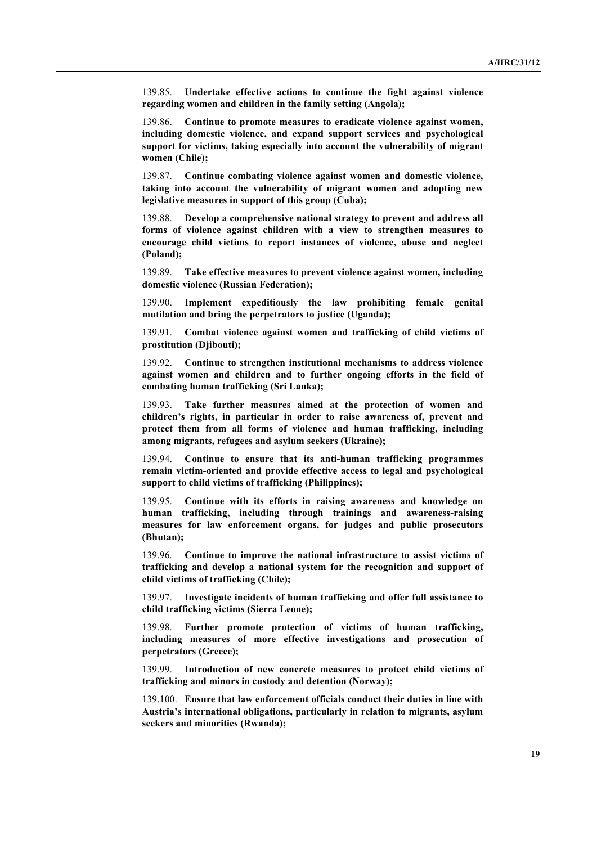139.85. **Undertake effective actions to continue the fight against violence regarding women and children in the family setting (Angola);**

139.86. **Continue to promote measures to eradicate violence against women, including domestic violence, and expand support services and psychological support for victims, taking especially into account the vulnerability of migrant women (Chile);**

139.87. **Continue combating violence against women and domestic violence, taking into account the vulnerability of migrant women and adopting new legislative measures in support of this group (Cuba);**

139.88. **Develop a comprehensive national strategy to prevent and address all forms of violence against children with a view to strengthen measures to encourage child victims to report instances of violence, abuse and neglect (Poland);**

139.89. **Take effective measures to prevent violence against women, including domestic violence (Russian Federation);**

139.90. **Implement expeditiously the law prohibiting female genital mutilation and bring the perpetrators to justice (Uganda);**

139.91. **Combat violence against women and trafficking of child victims of prostitution (Djibouti);**

139.92. **Continue to strengthen institutional mechanisms to address violence against women and children and to further ongoing efforts in the field of combating human trafficking (Sri Lanka);**

139.93. **Take further measures aimed at the protection of women and children's rights, in particular in order to raise awareness of, prevent and protect them from all forms of violence and human trafficking, including among migrants, refugees and asylum seekers (Ukraine);**

139.94. **Continue to ensure that its anti-human trafficking programmes remain victim-oriented and provide effective access to legal and psychological support to child victims of trafficking (Philippines);**

139.95. **Continue with its efforts in raising awareness and knowledge on human trafficking, including through trainings and awareness-raising measures for law enforcement organs, for judges and public prosecutors (Bhutan);**

139.96. **Continue to improve the national infrastructure to assist victims of trafficking and develop a national system for the recognition and support of child victims of trafficking (Chile);**

139.97. **Investigate incidents of human trafficking and offer full assistance to child trafficking victims (Sierra Leone);**

139.98. **Further promote protection of victims of human trafficking, including measures of more effective investigations and prosecution of perpetrators (Greece);**

139.99. **Introduction of new concrete measures to protect child victims of trafficking and minors in custody and detention (Norway);**

139.100. **Ensure that law enforcement officials conduct their duties in line with Austria's international obligations, particularly in relation to migrants, asylum seekers and minorities (Rwanda);**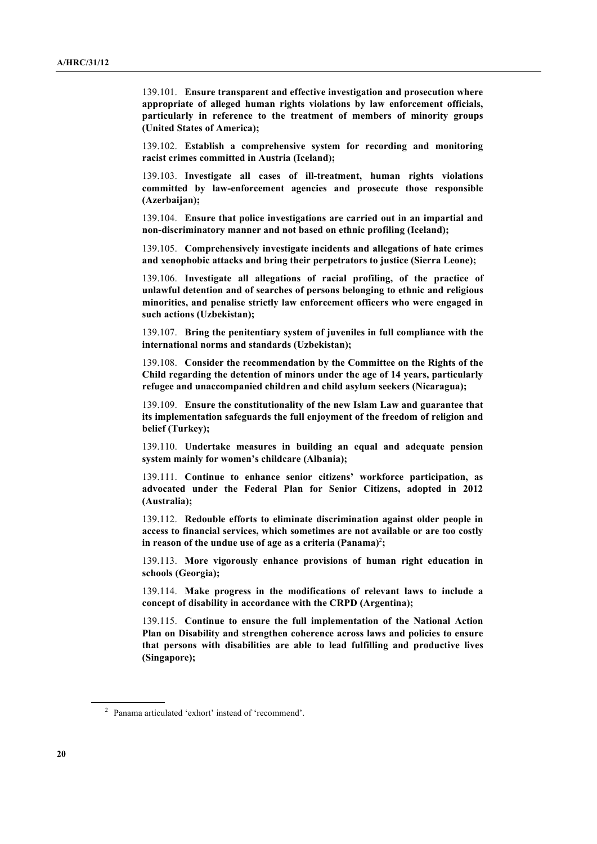139.101. **Ensure transparent and effective investigation and prosecution where appropriate of alleged human rights violations by law enforcement officials, particularly in reference to the treatment of members of minority groups (United States of America);**

139.102. **Establish a comprehensive system for recording and monitoring racist crimes committed in Austria (Iceland);** 

139.103. **Investigate all cases of ill-treatment, human rights violations committed by law-enforcement agencies and prosecute those responsible (Azerbaijan);**

139.104. **Ensure that police investigations are carried out in an impartial and non-discriminatory manner and not based on ethnic profiling (Iceland);**

139.105. **Comprehensively investigate incidents and allegations of hate crimes and xenophobic attacks and bring their perpetrators to justice (Sierra Leone);**

139.106. **Investigate all allegations of racial profiling, of the practice of unlawful detention and of searches of persons belonging to ethnic and religious minorities, and penalise strictly law enforcement officers who were engaged in such actions (Uzbekistan);**

139.107. **Bring the penitentiary system of juveniles in full compliance with the international norms and standards (Uzbekistan);**

139.108. **Consider the recommendation by the Committee on the Rights of the Child regarding the detention of minors under the age of 14 years, particularly refugee and unaccompanied children and child asylum seekers (Nicaragua);**

139.109. **Ensure the constitutionality of the new Islam Law and guarantee that its implementation safeguards the full enjoyment of the freedom of religion and belief (Turkey);**

139.110. **Undertake measures in building an equal and adequate pension system mainly for women's childcare (Albania);**

139.111. **Continue to enhance senior citizens' workforce participation, as advocated under the Federal Plan for Senior Citizens, adopted in 2012 (Australia);**

139.112. **Redouble efforts to eliminate discrimination against older people in access to financial services, which sometimes are not available or are too costly in reason of the undue use of age as a criteria (Panama)** 2 **;**

139.113. **More vigorously enhance provisions of human right education in schools (Georgia);**

139.114. **Make progress in the modifications of relevant laws to include a concept of disability in accordance with the CRPD (Argentina);**

139.115. **Continue to ensure the full implementation of the National Action Plan on Disability and strengthen coherence across laws and policies to ensure that persons with disabilities are able to lead fulfilling and productive lives (Singapore);**

<sup>2</sup> Panama articulated 'exhort' instead of 'recommend'.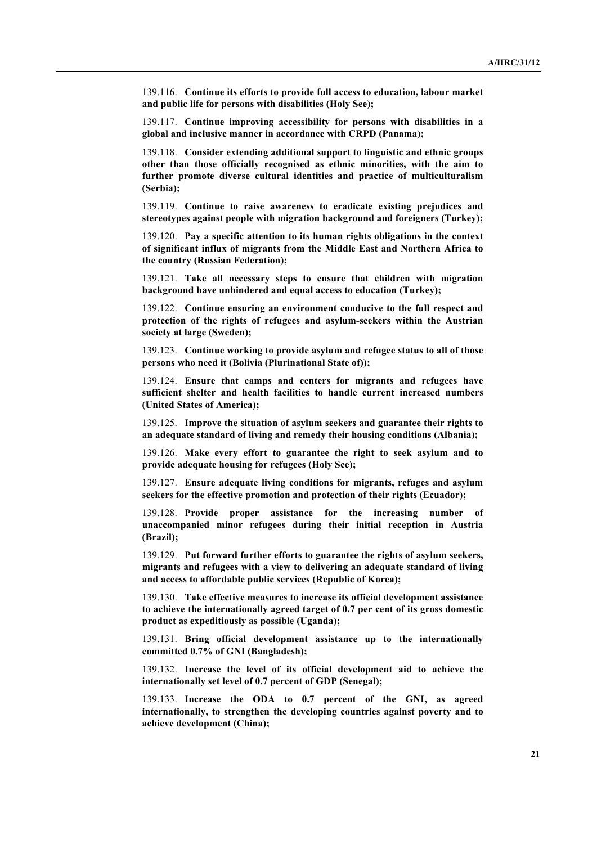139.116. **Continue its efforts to provide full access to education, labour market and public life for persons with disabilities (Holy See);**

139.117. **Continue improving accessibility for persons with disabilities in a global and inclusive manner in accordance with CRPD (Panama);**

139.118. **Consider extending additional support to linguistic and ethnic groups other than those officially recognised as ethnic minorities, with the aim to further promote diverse cultural identities and practice of multiculturalism (Serbia);**

139.119. **Continue to raise awareness to eradicate existing prejudices and stereotypes against people with migration background and foreigners (Turkey);**

139.120. **Pay a specific attention to its human rights obligations in the context of significant influx of migrants from the Middle East and Northern Africa to the country (Russian Federation);**

139.121. **Take all necessary steps to ensure that children with migration background have unhindered and equal access to education (Turkey);**

139.122. **Continue ensuring an environment conducive to the full respect and protection of the rights of refugees and asylum-seekers within the Austrian society at large (Sweden);**

139.123. **Continue working to provide asylum and refugee status to all of those persons who need it (Bolivia (Plurinational State of));**

139.124. **Ensure that camps and centers for migrants and refugees have sufficient shelter and health facilities to handle current increased numbers (United States of America);**

139.125. **Improve the situation of asylum seekers and guarantee their rights to an adequate standard of living and remedy their housing conditions (Albania);**

139.126. **Make every effort to guarantee the right to seek asylum and to provide adequate housing for refugees (Holy See);**

139.127. **Ensure adequate living conditions for migrants, refuges and asylum seekers for the effective promotion and protection of their rights (Ecuador);**

139.128. **Provide proper assistance for the increasing number of unaccompanied minor refugees during their initial reception in Austria (Brazil);**

139.129. **Put forward further efforts to guarantee the rights of asylum seekers, migrants and refugees with a view to delivering an adequate standard of living and access to affordable public services (Republic of Korea);**

139.130. **Take effective measures to increase its official development assistance to achieve the internationally agreed target of 0.7 per cent of its gross domestic product as expeditiously as possible (Uganda);**

139.131. **Bring official development assistance up to the internationally committed 0.7% of GNI (Bangladesh);**

139.132. **Increase the level of its official development aid to achieve the internationally set level of 0.7 percent of GDP (Senegal);**

139.133. **Increase the ODA to 0.7 percent of the GNI, as agreed internationally, to strengthen the developing countries against poverty and to achieve development (China);**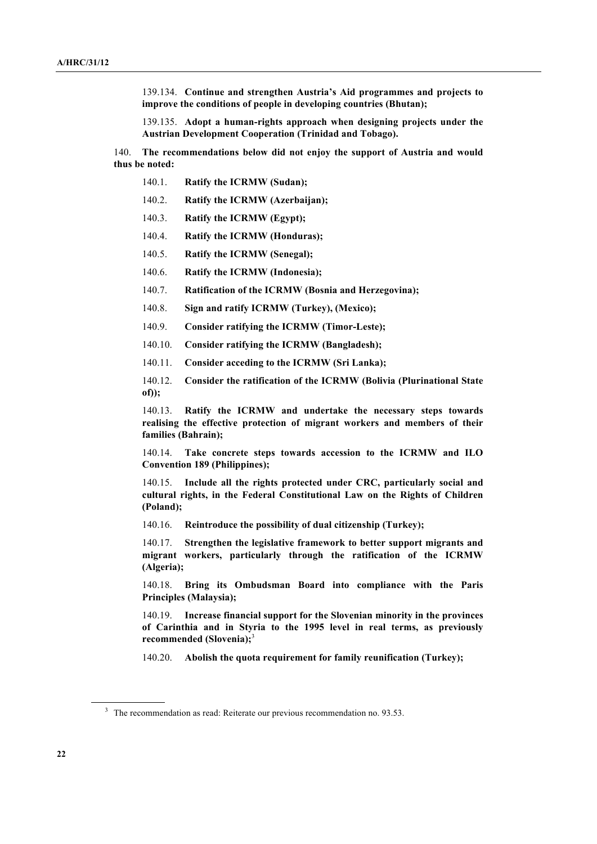139.134. **Continue and strengthen Austria's Aid programmes and projects to improve the conditions of people in developing countries (Bhutan);**

139.135. **Adopt a human-rights approach when designing projects under the Austrian Development Cooperation (Trinidad and Tobago).**

140. **The recommendations below did not enjoy the support of Austria and would thus be noted:**

- 140.1. **Ratify the ICRMW (Sudan);**
- 140.2. **Ratify the ICRMW (Azerbaijan);**
- 140.3. **Ratify the ICRMW (Egypt);**
- 140.4. **Ratify the ICRMW (Honduras);**
- 140.5. **Ratify the ICRMW (Senegal);**
- 140.6. **Ratify the ICRMW (Indonesia);**
- 140.7. **Ratification of the ICRMW (Bosnia and Herzegovina);**
- 140.8. **Sign and ratify ICRMW (Turkey), (Mexico);**
- 140.9. **Consider ratifying the ICRMW (Timor-Leste);**
- 140.10. **Consider ratifying the ICRMW (Bangladesh);**
- 140.11. **Consider acceding to the ICRMW (Sri Lanka);**
- 140.12. **Consider the ratification of the ICRMW (Bolivia (Plurinational State of));**

140.13. **Ratify the ICRMW and undertake the necessary steps towards realising the effective protection of migrant workers and members of their families (Bahrain);**

140.14. **Take concrete steps towards accession to the ICRMW and ILO Convention 189 (Philippines);**

140.15. **Include all the rights protected under CRC, particularly social and cultural rights, in the Federal Constitutional Law on the Rights of Children (Poland);**

140.16. **Reintroduce the possibility of dual citizenship (Turkey);**

140.17. **Strengthen the legislative framework to better support migrants and migrant workers, particularly through the ratification of the ICRMW (Algeria);**

140.18. **Bring its Ombudsman Board into compliance with the Paris Principles (Malaysia);**

140.19. **Increase financial support for the Slovenian minority in the provinces of Carinthia and in Styria to the 1995 level in real terms, as previously recommended (Slovenia);**<sup>3</sup>

140.20. **Abolish the quota requirement for family reunification (Turkey);** 

<sup>&</sup>lt;sup>3</sup> The recommendation as read: Reiterate our previous recommendation no. 93.53.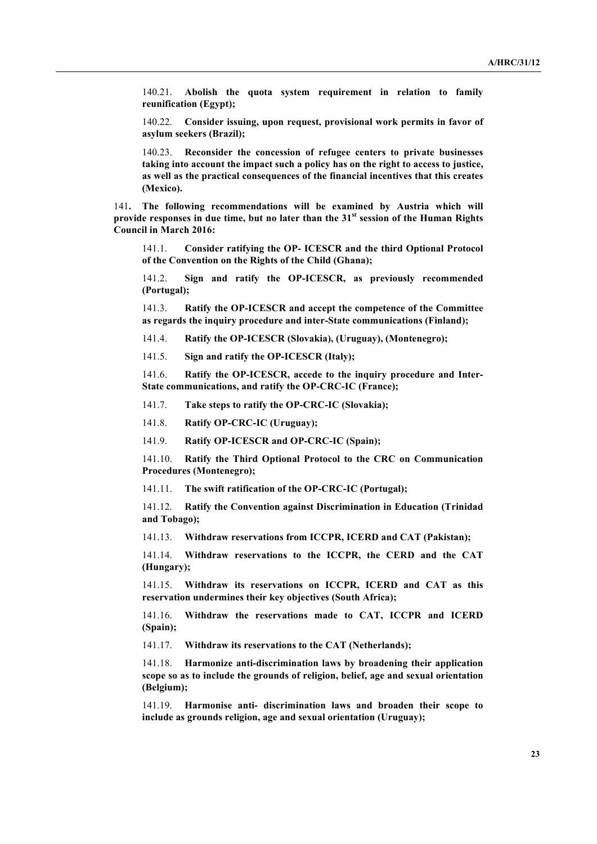140.21. **Abolish the quota system requirement in relation to family reunification (Egypt);**

140.22. **Consider issuing, upon request, provisional work permits in favor of asylum seekers (Brazil);**

140.23. **Reconsider the concession of refugee centers to private businesses taking into account the impact such a policy has on the right to access to justice, as well as the practical consequences of the financial incentives that this creates (Mexico).**

141**. The following recommendations will be examined by Austria which will provide responses in due time, but no later than the 31st session of the Human Rights Council in March 2016:**

141.1. **Consider ratifying the OP- ICESCR and the third Optional Protocol of the Convention on the Rights of the Child (Ghana);**

141.2. **Sign and ratify the OP-ICESCR, as previously recommended (Portugal);**

141.3. **Ratify the OP-ICESCR and accept the competence of the Committee as regards the inquiry procedure and inter-State communications (Finland);**

141.4. **Ratify the OP-ICESCR (Slovakia), (Uruguay), (Montenegro);**

141.5. **Sign and ratify the OP-ICESCR (Italy);**

141.6. **Ratify the OP-ICESCR, accede to the inquiry procedure and Inter-State communications, and ratify the OP-CRC-IC (France);**

141.7. **Take steps to ratify the OP-CRC-IC (Slovakia);**

141.8. **Ratify OP-CRC-IC (Uruguay);**

141.9. **Ratify OP-ICESCR and OP-CRC-IC (Spain);**

141.10. **Ratify the Third Optional Protocol to the CRC on Communication Procedures (Montenegro);**

141.11. **The swift ratification of the OP-CRC-IC (Portugal);**

141.12. **Ratify the Convention against Discrimination in Education (Trinidad and Tobago);**

141.13. **Withdraw reservations from ICCPR, ICERD and CAT (Pakistan);**

141.14. **Withdraw reservations to the ICCPR, the CERD and the CAT (Hungary);**

141.15. **Withdraw its reservations on ICCPR, ICERD and CAT as this reservation undermines their key objectives (South Africa);**

141.16. **Withdraw the reservations made to CAT, ICCPR and ICERD (Spain);**

141.17. **Withdraw its reservations to the CAT (Netherlands);**

141.18. **Harmonize anti-discrimination laws by broadening their application scope so as to include the grounds of religion, belief, age and sexual orientation (Belgium);**

141.19. **Harmonise anti- discrimination laws and broaden their scope to include as grounds religion, age and sexual orientation (Uruguay);**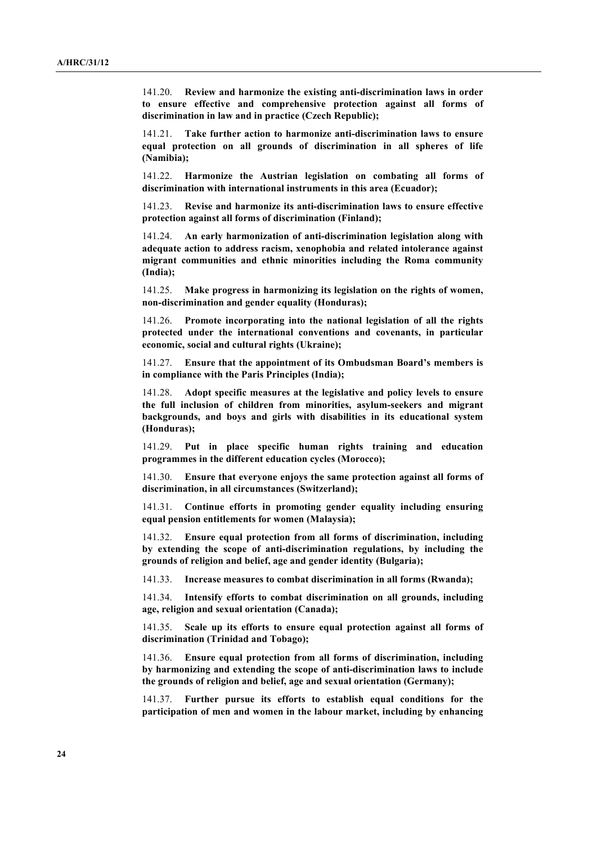141.20. **Review and harmonize the existing anti-discrimination laws in order to ensure effective and comprehensive protection against all forms of discrimination in law and in practice (Czech Republic);**

141.21. **Take further action to harmonize anti-discrimination laws to ensure equal protection on all grounds of discrimination in all spheres of life (Namibia);**

141.22. **Harmonize the Austrian legislation on combating all forms of discrimination with international instruments in this area (Ecuador);**

141.23. **Revise and harmonize its anti-discrimination laws to ensure effective protection against all forms of discrimination (Finland);**

141.24. **An early harmonization of anti-discrimination legislation along with adequate action to address racism, xenophobia and related intolerance against migrant communities and ethnic minorities including the Roma community (India);**

141.25. **Make progress in harmonizing its legislation on the rights of women, non-discrimination and gender equality (Honduras);**

141.26. **Promote incorporating into the national legislation of all the rights protected under the international conventions and covenants, in particular economic, social and cultural rights (Ukraine);**

141.27. **Ensure that the appointment of its Ombudsman Board's members is in compliance with the Paris Principles (India);**

141.28. **Adopt specific measures at the legislative and policy levels to ensure the full inclusion of children from minorities, asylum-seekers and migrant backgrounds, and boys and girls with disabilities in its educational system (Honduras);**

141.29. **Put in place specific human rights training and education programmes in the different education cycles (Morocco);**

141.30. **Ensure that everyone enjoys the same protection against all forms of discrimination, in all circumstances (Switzerland);**

141.31. **Continue efforts in promoting gender equality including ensuring equal pension entitlements for women (Malaysia);**

141.32. **Ensure equal protection from all forms of discrimination, including by extending the scope of anti-discrimination regulations, by including the grounds of religion and belief, age and gender identity (Bulgaria);**

141.33. **Increase measures to combat discrimination in all forms (Rwanda);**

141.34. **Intensify efforts to combat discrimination on all grounds, including age, religion and sexual orientation (Canada);**

141.35. **Scale up its efforts to ensure equal protection against all forms of discrimination (Trinidad and Tobago);**

141.36. **Ensure equal protection from all forms of discrimination, including by harmonizing and extending the scope of anti-discrimination laws to include the grounds of religion and belief, age and sexual orientation (Germany);**

141.37. **Further pursue its efforts to establish equal conditions for the participation of men and women in the labour market, including by enhancing**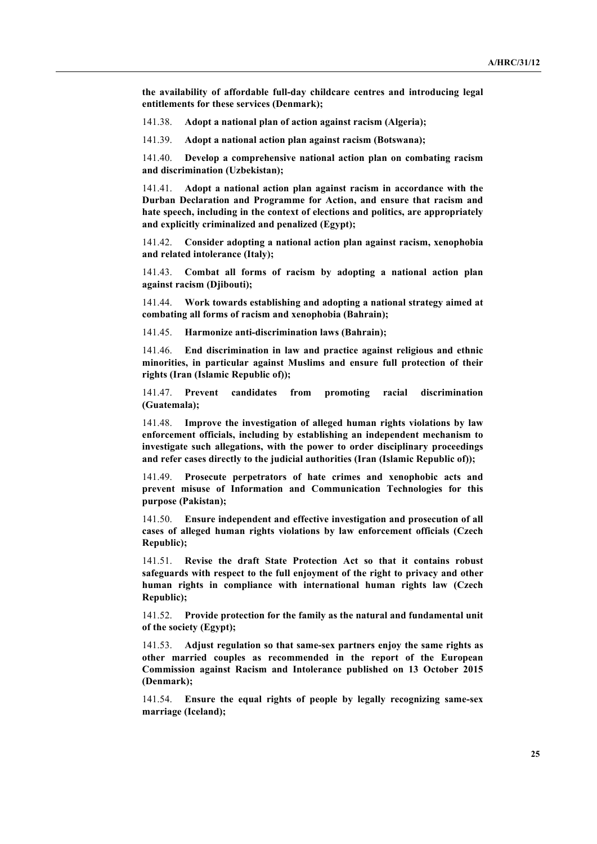**the availability of affordable full-day childcare centres and introducing legal entitlements for these services (Denmark);**

141.38. **Adopt a national plan of action against racism (Algeria);**

141.39. **Adopt a national action plan against racism (Botswana);**

141.40. **Develop a comprehensive national action plan on combating racism and discrimination (Uzbekistan);**

141.41. **Adopt a national action plan against racism in accordance with the Durban Declaration and Programme for Action, and ensure that racism and hate speech, including in the context of elections and politics, are appropriately and explicitly criminalized and penalized (Egypt);**

141.42. **Consider adopting a national action plan against racism, xenophobia and related intolerance (Italy);**

141.43. **Combat all forms of racism by adopting a national action plan against racism (Djibouti);**

141.44. **Work towards establishing and adopting a national strategy aimed at combating all forms of racism and xenophobia (Bahrain);** 

141.45. **Harmonize anti-discrimination laws (Bahrain);**

141.46. **End discrimination in law and practice against religious and ethnic minorities, in particular against Muslims and ensure full protection of their rights (Iran (Islamic Republic of));**

141.47. **Prevent candidates from promoting racial discrimination (Guatemala);**

141.48. **Improve the investigation of alleged human rights violations by law enforcement officials, including by establishing an independent mechanism to investigate such allegations, with the power to order disciplinary proceedings and refer cases directly to the judicial authorities (Iran (Islamic Republic of));**

141.49. **Prosecute perpetrators of hate crimes and xenophobic acts and prevent misuse of Information and Communication Technologies for this purpose (Pakistan);**

141.50. **Ensure independent and effective investigation and prosecution of all cases of alleged human rights violations by law enforcement officials (Czech Republic);**

141.51. **Revise the draft State Protection Act so that it contains robust safeguards with respect to the full enjoyment of the right to privacy and other human rights in compliance with international human rights law (Czech Republic);**

141.52. **Provide protection for the family as the natural and fundamental unit of the society (Egypt);**

141.53. **Adjust regulation so that same-sex partners enjoy the same rights as other married couples as recommended in the report of the European Commission against Racism and Intolerance published on 13 October 2015 (Denmark);**

141.54. **Ensure the equal rights of people by legally recognizing same-sex marriage (Iceland);**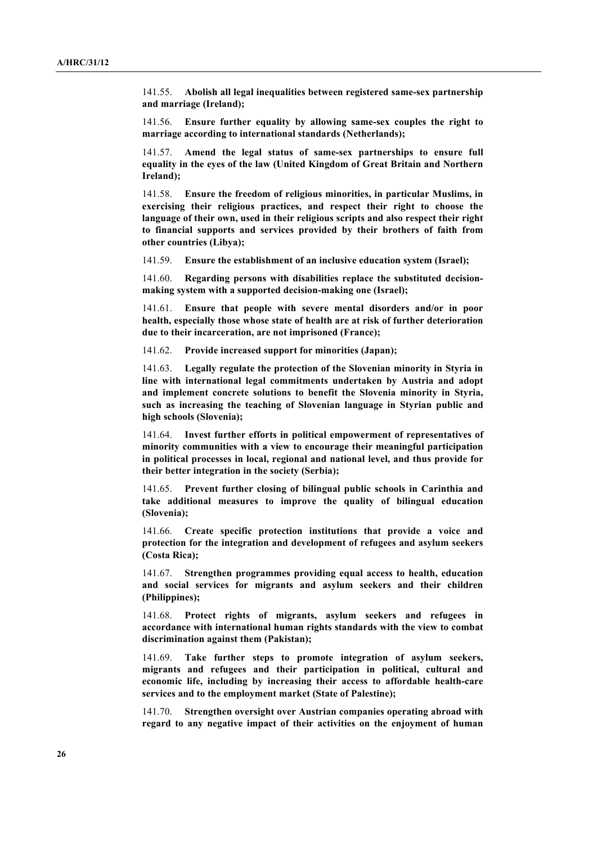141.55. **Abolish all legal inequalities between registered same-sex partnership and marriage (Ireland);**

141.56. **Ensure further equality by allowing same-sex couples the right to marriage according to international standards (Netherlands);**

141.57. **Amend the legal status of same-sex partnerships to ensure full equality in the eyes of the law (United Kingdom of Great Britain and Northern Ireland);**

141.58. **Ensure the freedom of religious minorities, in particular Muslims, in exercising their religious practices, and respect their right to choose the language of their own, used in their religious scripts and also respect their right to financial supports and services provided by their brothers of faith from other countries (Libya);**

141.59. **Ensure the establishment of an inclusive education system (Israel);**

141.60. **Regarding persons with disabilities replace the substituted decisionmaking system with a supported decision-making one (Israel);**

141.61. **Ensure that people with severe mental disorders and/or in poor health, especially those whose state of health are at risk of further deterioration due to their incarceration, are not imprisoned (France);**

141.62. **Provide increased support for minorities (Japan);**

141.63. **Legally regulate the protection of the Slovenian minority in Styria in line with international legal commitments undertaken by Austria and adopt and implement concrete solutions to benefit the Slovenia minority in Styria, such as increasing the teaching of Slovenian language in Styrian public and high schools (Slovenia);**

141.64. **Invest further efforts in political empowerment of representatives of minority communities with a view to encourage their meaningful participation in political processes in local, regional and national level, and thus provide for their better integration in the society (Serbia);**

141.65. **Prevent further closing of bilingual public schools in Carinthia and take additional measures to improve the quality of bilingual education (Slovenia);**

141.66. **Create specific protection institutions that provide a voice and protection for the integration and development of refugees and asylum seekers (Costa Rica);**

141.67. **Strengthen programmes providing equal access to health, education and social services for migrants and asylum seekers and their children (Philippines);**

141.68. **Protect rights of migrants, asylum seekers and refugees in accordance with international human rights standards with the view to combat discrimination against them (Pakistan);**

141.69. **Take further steps to promote integration of asylum seekers, migrants and refugees and their participation in political, cultural and economic life, including by increasing their access to affordable health-care services and to the employment market (State of Palestine);**

141.70. **Strengthen oversight over Austrian companies operating abroad with regard to any negative impact of their activities on the enjoyment of human**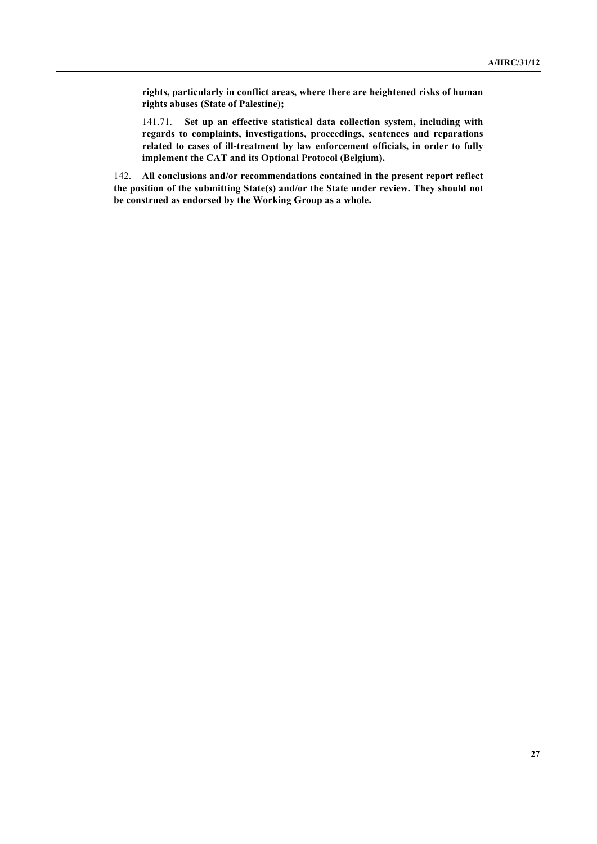**rights, particularly in conflict areas, where there are heightened risks of human rights abuses (State of Palestine);**

141.71. **Set up an effective statistical data collection system, including with regards to complaints, investigations, proceedings, sentences and reparations related to cases of ill-treatment by law enforcement officials, in order to fully implement the CAT and its Optional Protocol (Belgium).**

142. **All conclusions and/or recommendations contained in the present report reflect the position of the submitting State(s) and/or the State under review. They should not be construed as endorsed by the Working Group as a whole.**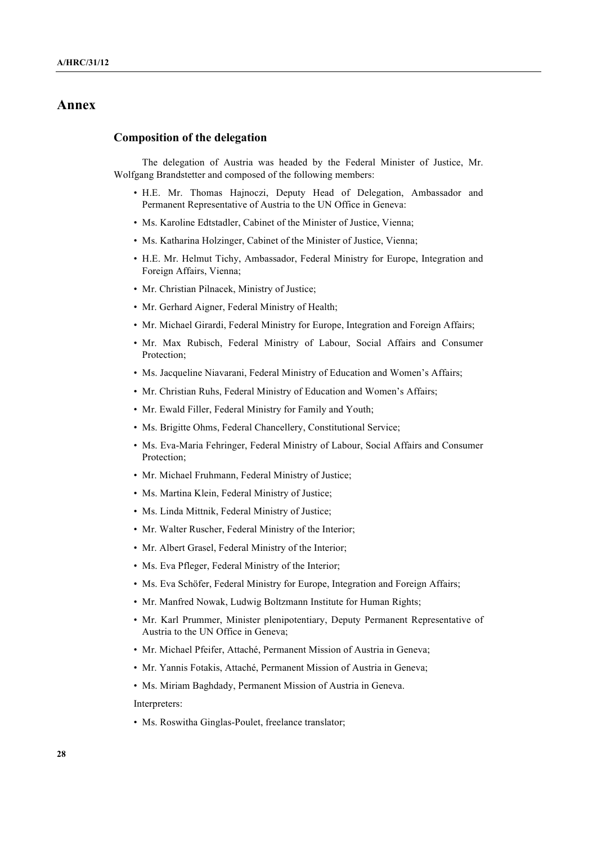# **Annex**

#### **Composition of the delegation**

The delegation of Austria was headed by the Federal Minister of Justice, Mr. Wolfgang Brandstetter and composed of the following members:

- H.E. Mr. Thomas Hajnoczi, Deputy Head of Delegation, Ambassador and Permanent Representative of Austria to the UN Office in Geneva:
- Ms. Karoline Edtstadler, Cabinet of the Minister of Justice, Vienna;
- Ms. Katharina Holzinger, Cabinet of the Minister of Justice, Vienna;
- H.E. Mr. Helmut Tichy, Ambassador, Federal Ministry for Europe, Integration and Foreign Affairs, Vienna;
- Mr. Christian Pilnacek, Ministry of Justice;
- Mr. Gerhard Aigner, Federal Ministry of Health;
- Mr. Michael Girardi, Federal Ministry for Europe, Integration and Foreign Affairs;
- Mr. Max Rubisch, Federal Ministry of Labour, Social Affairs and Consumer Protection;
- Ms. Jacqueline Niavarani, Federal Ministry of Education and Women's Affairs;
- Mr. Christian Ruhs, Federal Ministry of Education and Women's Affairs;
- Mr. Ewald Filler, Federal Ministry for Family and Youth;
- Ms. Brigitte Ohms, Federal Chancellery, Constitutional Service;
- Ms. Eva-Maria Fehringer, Federal Ministry of Labour, Social Affairs and Consumer Protection;
- Mr. Michael Fruhmann, Federal Ministry of Justice;
- Ms. Martina Klein, Federal Ministry of Justice;
- Ms. Linda Mittnik, Federal Ministry of Justice;
- Mr. Walter Ruscher, Federal Ministry of the Interior;
- Mr. Albert Grasel, Federal Ministry of the Interior;
- Ms. Eva Pfleger, Federal Ministry of the Interior;
- Ms. Eva Schöfer, Federal Ministry for Europe, Integration and Foreign Affairs;
- Mr. Manfred Nowak, Ludwig Boltzmann Institute for Human Rights;
- Mr. Karl Prummer, Minister plenipotentiary, Deputy Permanent Representative of Austria to the UN Office in Geneva;
- Mr. Michael Pfeifer, Attaché, Permanent Mission of Austria in Geneva;
- Mr. Yannis Fotakis, Attaché, Permanent Mission of Austria in Geneva;
- Ms. Miriam Baghdady, Permanent Mission of Austria in Geneva.

Interpreters:

• Ms. Roswitha Ginglas-Poulet, freelance translator;